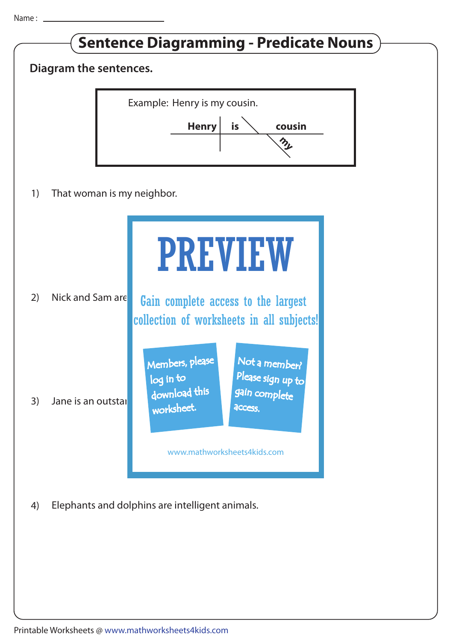